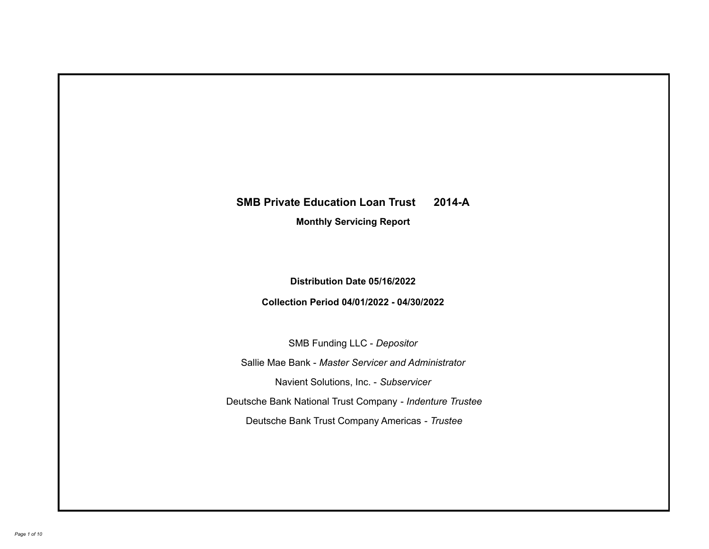# **SMB Private Education Loan Trust 2014-A**

**Monthly Servicing Report**

**Distribution Date 05/16/2022**

**Collection Period 04/01/2022 - 04/30/2022**

SMB Funding LLC - *Depositor*

Sallie Mae Bank - *Master Servicer and Administrator*

Navient Solutions, Inc. - *Subservicer*

Deutsche Bank National Trust Company - *Indenture Trustee*

Deutsche Bank Trust Company Americas - *Trustee*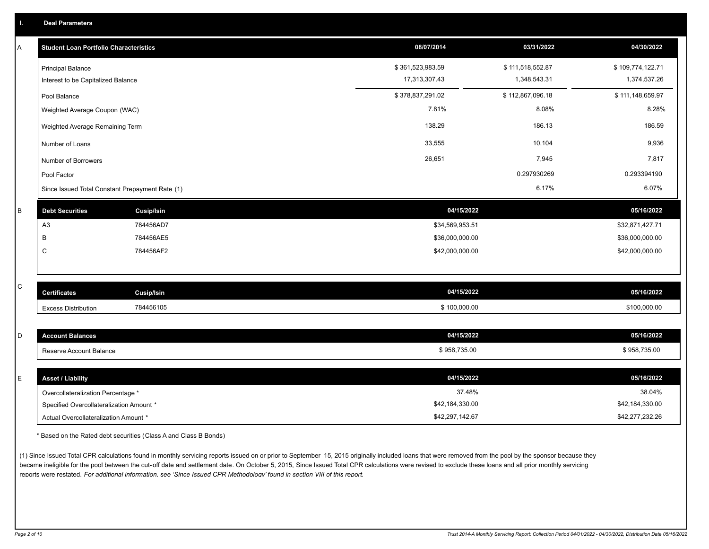| Α | <b>Student Loan Portfolio Characteristics</b>                  | 08/07/2014                        | 03/31/2022                       | 04/30/2022                       |
|---|----------------------------------------------------------------|-----------------------------------|----------------------------------|----------------------------------|
|   | <b>Principal Balance</b><br>Interest to be Capitalized Balance | \$361,523,983.59<br>17,313,307.43 | \$111,518,552.87<br>1,348,543.31 | \$109,774,122.71<br>1,374,537.26 |
|   | Pool Balance                                                   | \$378,837,291.02                  | \$112,867,096.18                 | \$111,148,659.97                 |
|   | Weighted Average Coupon (WAC)                                  | 7.81%                             | 8.08%                            | 8.28%                            |
|   |                                                                | 138.29                            | 186.13                           | 186.59                           |
|   | Weighted Average Remaining Term                                |                                   |                                  |                                  |
|   | Number of Loans                                                | 33,555                            | 10,104                           | 9,936                            |
|   | Number of Borrowers                                            | 26,651                            | 7,945                            | 7,817                            |
|   | Pool Factor                                                    |                                   | 0.297930269                      | 0.293394190                      |
|   | Since Issued Total Constant Prepayment Rate (1)                |                                   | 6.17%                            | 6.07%                            |
| B | <b>Debt Securities</b><br><b>Cusip/Isin</b>                    | 04/15/2022                        |                                  | 05/16/2022                       |
|   | A <sub>3</sub><br>784456AD7                                    | \$34,569,953.51                   |                                  | \$32,871,427.71                  |
|   | B<br>784456AE5                                                 | \$36,000,000.00                   |                                  | \$36,000,000.00                  |
|   | C<br>784456AF2                                                 | \$42,000,000.00                   |                                  | \$42,000,000.00                  |
|   |                                                                |                                   |                                  |                                  |
| C | Cusip/Isin<br><b>Certificates</b>                              | 04/15/2022                        |                                  | 05/16/2022                       |
|   | 784456105<br><b>Excess Distribution</b>                        | \$100,000.00                      |                                  | \$100,000.00                     |
|   |                                                                |                                   |                                  |                                  |
| D | <b>Account Balances</b>                                        | 04/15/2022                        |                                  | 05/16/2022                       |
|   | Reserve Account Balance                                        | \$958,735.00                      |                                  | \$958,735.00                     |
|   |                                                                |                                   |                                  |                                  |
| E | <b>Asset / Liability</b>                                       | 04/15/2022                        |                                  | 05/16/2022                       |
|   | Overcollateralization Percentage *                             | 37.48%                            |                                  | 38.04%                           |
|   | Specified Overcollateralization Amount *                       | \$42,184,330.00                   |                                  | \$42,184,330.00                  |

\* Based on the Rated debt securities (Class A and Class B Bonds)

(1) Since Issued Total CPR calculations found in monthly servicing reports issued on or prior to September 15, 2015 originally included loans that were removed from the pool by the sponsor because they became ineligible for the pool between the cut-off date and settlement date. On October 5, 2015, Since Issued Total CPR calculations were revised to exclude these loans and all prior monthly servicing reports were restated. *For additional information, see 'Since Issued CPR Methodology' found in section VIII of this report.*

Actual Overcollateralization Amount \* \$42,297,142.67

\$42,277,232.26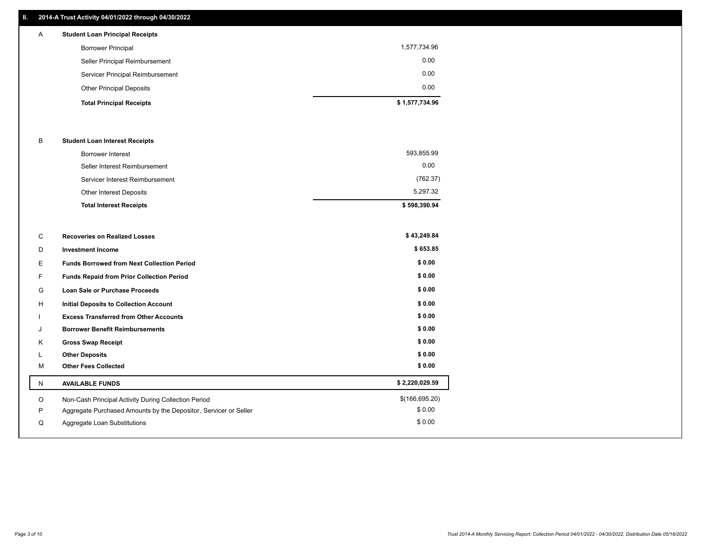## **II. 2014-A Trust Activity 04/01/2022 through 04/30/2022**

| A | <b>Student Loan Principal Receipts</b> |                |
|---|----------------------------------------|----------------|
|   | <b>Borrower Principal</b>              | 1,577,734.96   |
|   | Seller Principal Reimbursement         | 0.00           |
|   | Servicer Principal Reimbursement       | 0.00           |
|   | <b>Other Principal Deposits</b>        | 0.00           |
|   | <b>Total Principal Receipts</b>        | \$1,577,734.96 |

### B **Student Loan Interest Receipts**

| <b>Total Interest Receipts</b>  | \$598,390.94 |
|---------------------------------|--------------|
| <b>Other Interest Deposits</b>  | 5.297.32     |
| Servicer Interest Reimbursement | (762.37)     |
| Seller Interest Reimbursement   | 0.00         |
| Borrower Interest               | 593,855.99   |

| С  | <b>Recoveries on Realized Losses</b>                             | \$43,249.84     |
|----|------------------------------------------------------------------|-----------------|
| D  | <b>Investment Income</b>                                         | \$653.85        |
| E  | <b>Funds Borrowed from Next Collection Period</b>                | \$0.00          |
| F. | Funds Repaid from Prior Collection Period                        | \$0.00          |
| G  | <b>Loan Sale or Purchase Proceeds</b>                            | \$0.00          |
| н  | <b>Initial Deposits to Collection Account</b>                    | \$0.00          |
|    | <b>Excess Transferred from Other Accounts</b>                    | \$0.00          |
| J  | <b>Borrower Benefit Reimbursements</b>                           | \$0.00          |
| Κ  | <b>Gross Swap Receipt</b>                                        | \$0.00          |
|    | <b>Other Deposits</b>                                            | \$0.00          |
| M  | <b>Other Fees Collected</b>                                      | \$0.00          |
| N  | <b>AVAILABLE FUNDS</b>                                           | \$2,220,029.59  |
| O  | Non-Cash Principal Activity During Collection Period             | \$(166, 695.20) |
| Ρ  | Aggregate Purchased Amounts by the Depositor, Servicer or Seller | \$0.00          |
| Q  | Aggregate Loan Substitutions                                     | \$0.00          |
|    |                                                                  |                 |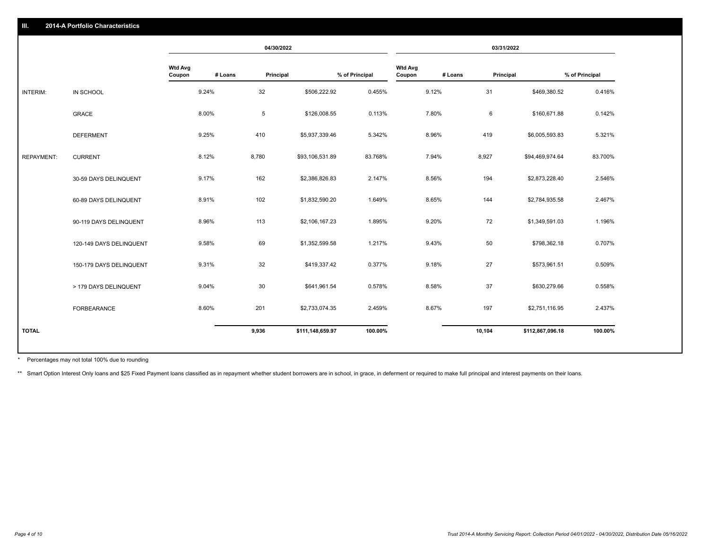|                   |                         |                          | 04/30/2022 |           | 03/31/2022       |                |                          |         |           |                  |                |
|-------------------|-------------------------|--------------------------|------------|-----------|------------------|----------------|--------------------------|---------|-----------|------------------|----------------|
|                   |                         | <b>Wtd Avg</b><br>Coupon | # Loans    | Principal |                  | % of Principal | <b>Wtd Avg</b><br>Coupon | # Loans | Principal |                  | % of Principal |
| INTERIM:          | IN SCHOOL               |                          | 9.24%      | 32        | \$506,222.92     | 0.455%         |                          | 9.12%   | 31        | \$469,380.52     | 0.416%         |
|                   | <b>GRACE</b>            |                          | 8.00%      | 5         | \$126,008.55     | 0.113%         |                          | 7.80%   | 6         | \$160,671.88     | 0.142%         |
|                   | <b>DEFERMENT</b>        |                          | 9.25%      | 410       | \$5,937,339.46   | 5.342%         |                          | 8.96%   | 419       | \$6,005,593.83   | 5.321%         |
| <b>REPAYMENT:</b> | <b>CURRENT</b>          |                          | 8.12%      | 8,780     | \$93,106,531.89  | 83.768%        |                          | 7.94%   | 8,927     | \$94,469,974.64  | 83.700%        |
|                   | 30-59 DAYS DELINQUENT   |                          | 9.17%      | 162       | \$2,386,826.83   | 2.147%         |                          | 8.56%   | 194       | \$2,873,228.40   | 2.546%         |
|                   | 60-89 DAYS DELINQUENT   |                          | 8.91%      | 102       | \$1,832,590.20   | 1.649%         |                          | 8.65%   | 144       | \$2,784,935.58   | 2.467%         |
|                   | 90-119 DAYS DELINQUENT  |                          | 8.96%      | 113       | \$2,106,167.23   | 1.895%         |                          | 9.20%   | 72        | \$1,349,591.03   | 1.196%         |
|                   | 120-149 DAYS DELINQUENT |                          | 9.58%      | 69        | \$1,352,599.58   | 1.217%         |                          | 9.43%   | 50        | \$798,362.18     | 0.707%         |
|                   | 150-179 DAYS DELINQUENT |                          | 9.31%      | 32        | \$419,337.42     | 0.377%         |                          | 9.18%   | 27        | \$573,961.51     | 0.509%         |
|                   | > 179 DAYS DELINQUENT   |                          | 9.04%      | 30        | \$641,961.54     | 0.578%         |                          | 8.58%   | 37        | \$630,279.66     | 0.558%         |
|                   | FORBEARANCE             |                          | 8.60%      | 201       | \$2,733,074.35   | 2.459%         |                          | 8.67%   | 197       | \$2,751,116.95   | 2.437%         |
| <b>TOTAL</b>      |                         |                          |            | 9,936     | \$111,148,659.97 | 100.00%        |                          |         | 10,104    | \$112,867,096.18 | 100.00%        |
|                   |                         |                          |            |           |                  |                |                          |         |           |                  |                |

Percentages may not total 100% due to rounding \*

\*\* Smart Option Interest Only loans and \$25 Fixed Payment loans classified as in repayment whether student borrowers are in school, in grace, in deferment or required to make full principal and interest payments on their l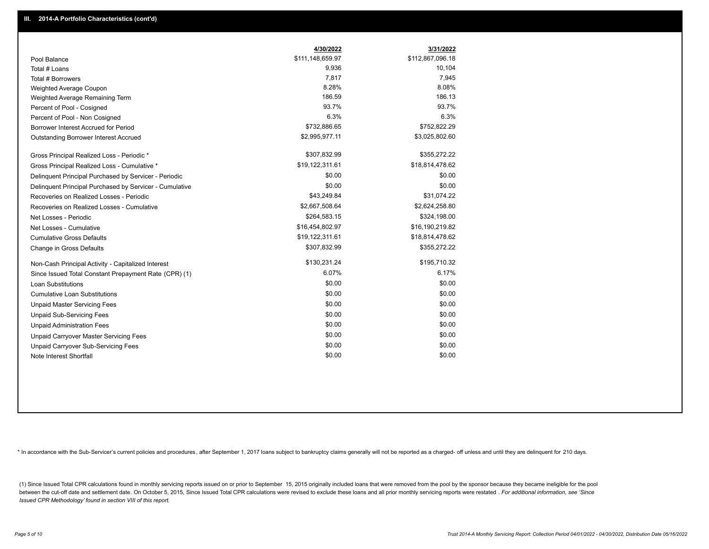|                                                         | 4/30/2022        | 3/31/2022        |
|---------------------------------------------------------|------------------|------------------|
| Pool Balance                                            | \$111,148,659.97 | \$112,867,096.18 |
| Total # Loans                                           | 9,936            | 10,104           |
| Total # Borrowers                                       | 7,817            | 7,945            |
| Weighted Average Coupon                                 | 8.28%            | 8.08%            |
| Weighted Average Remaining Term                         | 186.59           | 186.13           |
| Percent of Pool - Cosigned                              | 93.7%            | 93.7%            |
| Percent of Pool - Non Cosigned                          | 6.3%             | 6.3%             |
| Borrower Interest Accrued for Period                    | \$732,886.65     | \$752,822.29     |
| Outstanding Borrower Interest Accrued                   | \$2,995,977.11   | \$3,025,802.60   |
| Gross Principal Realized Loss - Periodic *              | \$307,832.99     | \$355,272.22     |
| Gross Principal Realized Loss - Cumulative *            | \$19,122,311.61  | \$18,814,478.62  |
| Delinquent Principal Purchased by Servicer - Periodic   | \$0.00           | \$0.00           |
| Delinquent Principal Purchased by Servicer - Cumulative | \$0.00           | \$0.00           |
| Recoveries on Realized Losses - Periodic                | \$43,249.84      | \$31,074.22      |
| Recoveries on Realized Losses - Cumulative              | \$2,667,508.64   | \$2,624,258.80   |
| Net Losses - Periodic                                   | \$264,583.15     | \$324,198.00     |
| Net Losses - Cumulative                                 | \$16,454,802.97  | \$16,190,219.82  |
| <b>Cumulative Gross Defaults</b>                        | \$19,122,311.61  | \$18,814,478.62  |
| Change in Gross Defaults                                | \$307,832.99     | \$355,272.22     |
| Non-Cash Principal Activity - Capitalized Interest      | \$130,231.24     | \$195,710.32     |
| Since Issued Total Constant Prepayment Rate (CPR) (1)   | 6.07%            | 6.17%            |
| <b>Loan Substitutions</b>                               | \$0.00           | \$0.00           |
| <b>Cumulative Loan Substitutions</b>                    | \$0.00           | \$0.00           |
| <b>Unpaid Master Servicing Fees</b>                     | \$0.00           | \$0.00           |
| <b>Unpaid Sub-Servicing Fees</b>                        | \$0.00           | \$0.00           |
| <b>Unpaid Administration Fees</b>                       | \$0.00           | \$0.00           |
| <b>Unpaid Carryover Master Servicing Fees</b>           | \$0.00           | \$0.00           |
| Unpaid Carryover Sub-Servicing Fees                     | \$0.00           | \$0.00           |
| Note Interest Shortfall                                 | \$0.00           | \$0.00           |

\* In accordance with the Sub-Servicer's current policies and procedures, after September 1, 2017 loans subject to bankruptcy claims generally will not be reported as a charged- off unless and until they are delinquent for

(1) Since Issued Total CPR calculations found in monthly servicing reports issued on or prior to September 15, 2015 originally included loans that were removed from the pool by the sponsor because they became ineligible fo between the cut-off date and settlement date. On October 5, 2015, Since Issued Total CPR calculations were revised to exclude these loans and all prior monthly servicing reports were restated . For additional information, *Issued CPR Methodology' found in section VIII of this report.*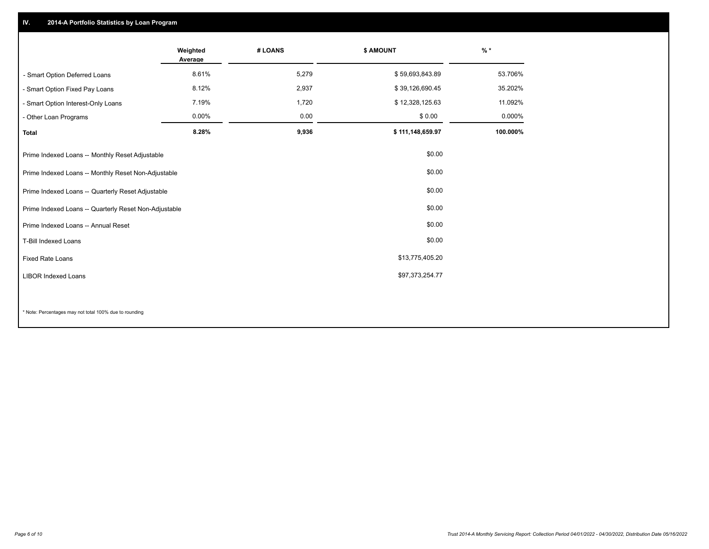## **IV. 2014-A Portfolio Statistics by Loan Program**

|                                                        | Weighted<br>Average | # LOANS | \$ AMOUNT        | $%$ *    |
|--------------------------------------------------------|---------------------|---------|------------------|----------|
| - Smart Option Deferred Loans                          | 8.61%               | 5,279   | \$59,693,843.89  | 53.706%  |
| Smart Option Fixed Pay Loans                           | 8.12%               | 2,937   | \$39,126,690.45  | 35.202%  |
| - Smart Option Interest-Only Loans                     | 7.19%               | 1,720   | \$12,328,125.63  | 11.092%  |
| - Other Loan Programs                                  | 0.00%               | 0.00    | \$0.00           | 0.000%   |
| <b>Total</b>                                           | 8.28%               | 9,936   | \$111,148,659.97 | 100.000% |
| Prime Indexed Loans -- Monthly Reset Adjustable        |                     |         | \$0.00           |          |
| Prime Indexed Loans -- Monthly Reset Non-Adjustable    |                     |         | \$0.00           |          |
| Prime Indexed Loans -- Quarterly Reset Adjustable      |                     |         | \$0.00           |          |
| Prime Indexed Loans -- Quarterly Reset Non-Adjustable  |                     |         | \$0.00           |          |
| Prime Indexed Loans -- Annual Reset                    |                     |         | \$0.00           |          |
| <b>T-Bill Indexed Loans</b>                            |                     |         | \$0.00           |          |
| <b>Fixed Rate Loans</b>                                |                     |         | \$13,775,405.20  |          |
| <b>LIBOR Indexed Loans</b>                             |                     |         | \$97,373,254.77  |          |
|                                                        |                     |         |                  |          |
| * Note: Percentages may not total 100% due to rounding |                     |         |                  |          |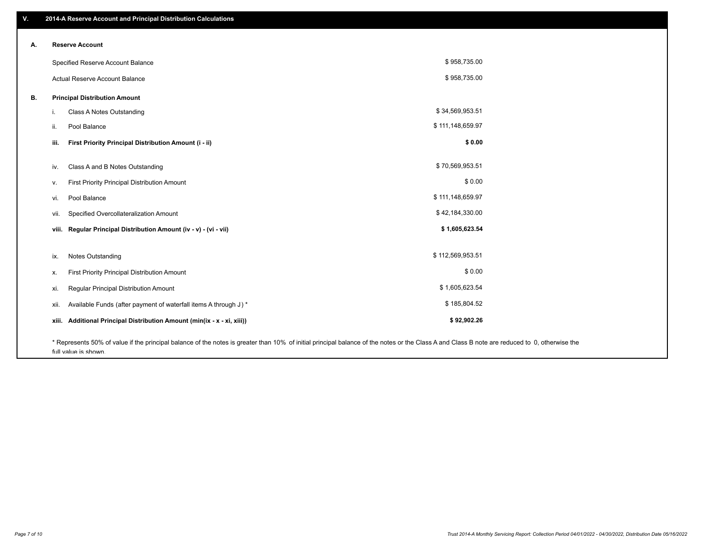| v. | 2014-A Reserve Account and Principal Distribution Calculations                                                                                                                                |                  |  |
|----|-----------------------------------------------------------------------------------------------------------------------------------------------------------------------------------------------|------------------|--|
|    |                                                                                                                                                                                               |                  |  |
| А. | <b>Reserve Account</b>                                                                                                                                                                        |                  |  |
|    | Specified Reserve Account Balance                                                                                                                                                             | \$958,735.00     |  |
|    | Actual Reserve Account Balance                                                                                                                                                                | \$958,735.00     |  |
| В. | <b>Principal Distribution Amount</b>                                                                                                                                                          |                  |  |
|    | Class A Notes Outstanding<br>i.                                                                                                                                                               | \$34,569,953.51  |  |
|    | Pool Balance<br>ii.                                                                                                                                                                           | \$111,148,659.97 |  |
|    | First Priority Principal Distribution Amount (i - ii)<br>iii.                                                                                                                                 | \$0.00           |  |
|    | Class A and B Notes Outstanding<br>iv.                                                                                                                                                        | \$70,569,953.51  |  |
|    | First Priority Principal Distribution Amount<br>V.                                                                                                                                            | \$0.00           |  |
|    | Pool Balance<br>vi.                                                                                                                                                                           | \$111,148,659.97 |  |
|    | Specified Overcollateralization Amount<br>vii.                                                                                                                                                | \$42,184,330.00  |  |
|    | viii. Regular Principal Distribution Amount (iv - v) - (vi - vii)                                                                                                                             | \$1,605,623.54   |  |
|    | <b>Notes Outstanding</b><br>ix.                                                                                                                                                               | \$112,569,953.51 |  |
|    |                                                                                                                                                                                               | \$0.00           |  |
|    | First Priority Principal Distribution Amount<br>х.                                                                                                                                            |                  |  |
|    | Regular Principal Distribution Amount<br>xi.                                                                                                                                                  | \$1,605,623.54   |  |
|    | Available Funds (after payment of waterfall items A through J) *<br>xii.                                                                                                                      | \$185,804.52     |  |
|    | Additional Principal Distribution Amount (min(ix - x - xi, xiii))<br>xiii.                                                                                                                    | \$92,902.26      |  |
|    | * Represents 50% of value if the principal balance of the notes is greater than 10% of initial principal balance of the notes or the Class A and Class B note are reduced to 0, otherwise the |                  |  |

full value is shown.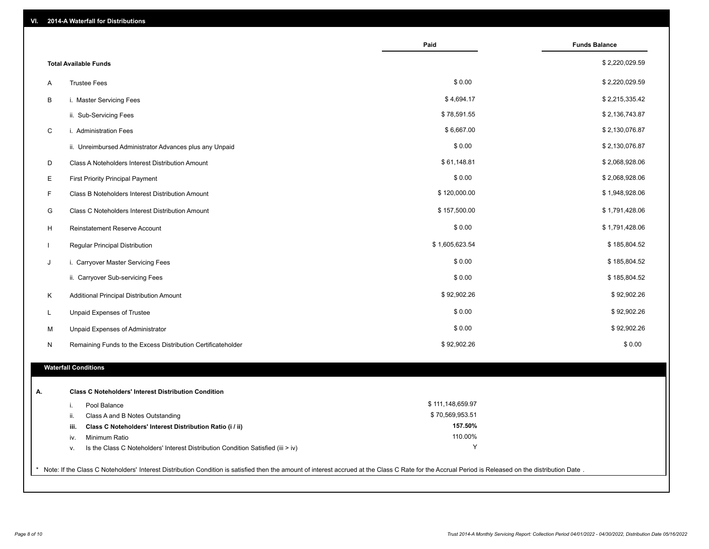| VI. | 2014-A Waterfall for Distributions                                                                                                                                                                    |                    |                      |
|-----|-------------------------------------------------------------------------------------------------------------------------------------------------------------------------------------------------------|--------------------|----------------------|
|     |                                                                                                                                                                                                       | Paid               | <b>Funds Balance</b> |
|     | <b>Total Available Funds</b>                                                                                                                                                                          |                    | \$2,220,029.59       |
| Α   | <b>Trustee Fees</b>                                                                                                                                                                                   | \$0.00             | \$2,220,029.59       |
| В   | i. Master Servicing Fees                                                                                                                                                                              | \$4,694.17         | \$2,215,335.42       |
|     | ii. Sub-Servicing Fees                                                                                                                                                                                | \$78,591.55        | \$2,136,743.87       |
| C   | i. Administration Fees                                                                                                                                                                                | \$6,667.00         | \$2,130,076.87       |
|     | ii. Unreimbursed Administrator Advances plus any Unpaid                                                                                                                                               | \$0.00             | \$2,130,076.87       |
| D   | Class A Noteholders Interest Distribution Amount                                                                                                                                                      | \$61,148.81        | \$2,068,928.06       |
| E   | <b>First Priority Principal Payment</b>                                                                                                                                                               | \$0.00             | \$2,068,928.06       |
| F   | Class B Noteholders Interest Distribution Amount                                                                                                                                                      | \$120,000.00       | \$1,948,928.06       |
| G   | <b>Class C Noteholders Interest Distribution Amount</b>                                                                                                                                               | \$157,500.00       | \$1,791,428.06       |
| H   | Reinstatement Reserve Account                                                                                                                                                                         | \$0.00             | \$1,791,428.06       |
|     | Regular Principal Distribution                                                                                                                                                                        | \$1,605,623.54     | \$185,804.52         |
| J   | i. Carryover Master Servicing Fees                                                                                                                                                                    | \$0.00             | \$185,804.52         |
|     | ii. Carryover Sub-servicing Fees                                                                                                                                                                      | \$0.00             | \$185,804.52         |
| Κ   | Additional Principal Distribution Amount                                                                                                                                                              | \$92,902.26        | \$92,902.26          |
| L   | Unpaid Expenses of Trustee                                                                                                                                                                            | \$0.00             | \$92,902.26          |
| М   | Unpaid Expenses of Administrator                                                                                                                                                                      | \$0.00             | \$92,902.26          |
| N   | Remaining Funds to the Excess Distribution Certificateholder                                                                                                                                          | \$92,902.26        | \$0.00               |
|     | <b>Waterfall Conditions</b>                                                                                                                                                                           |                    |                      |
|     |                                                                                                                                                                                                       |                    |                      |
| А.  | <b>Class C Noteholders' Interest Distribution Condition</b>                                                                                                                                           |                    |                      |
|     | Pool Balance<br>j.                                                                                                                                                                                    | \$111,148,659.97   |                      |
|     | ii.<br>Class A and B Notes Outstanding                                                                                                                                                                | \$70,569,953.51    |                      |
|     | Class C Noteholders' Interest Distribution Ratio (i / ii)<br>iii.                                                                                                                                     | 157.50%<br>110.00% |                      |
|     | Minimum Ratio<br>iv.                                                                                                                                                                                  | Υ                  |                      |
|     | Is the Class C Noteholders' Interest Distribution Condition Satisfied (iii > iv)<br>V.                                                                                                                |                    |                      |
|     | * Note: If the Class C Noteholders' Interest Distribution Condition is satisfied then the amount of interest accrued at the Class C Rate for the Accrual Period is Released on the distribution Date. |                    |                      |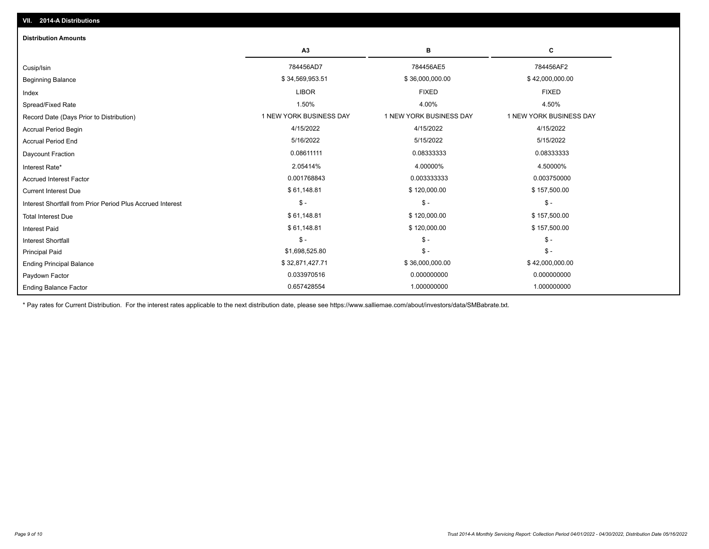| <b>Distribution Amounts</b>                                |                         |                         |                         |
|------------------------------------------------------------|-------------------------|-------------------------|-------------------------|
|                                                            | A3                      | в                       | C                       |
| Cusip/Isin                                                 | 784456AD7               | 784456AE5               | 784456AF2               |
| <b>Beginning Balance</b>                                   | \$34,569,953.51         | \$36,000,000.00         | \$42,000,000.00         |
| Index                                                      | <b>LIBOR</b>            | <b>FIXED</b>            | <b>FIXED</b>            |
| Spread/Fixed Rate                                          | 1.50%                   | 4.00%                   | 4.50%                   |
| Record Date (Days Prior to Distribution)                   | 1 NEW YORK BUSINESS DAY | 1 NEW YORK BUSINESS DAY | 1 NEW YORK BUSINESS DAY |
| Accrual Period Begin                                       | 4/15/2022               | 4/15/2022               | 4/15/2022               |
| <b>Accrual Period End</b>                                  | 5/16/2022               | 5/15/2022               | 5/15/2022               |
| Daycount Fraction                                          | 0.08611111              | 0.08333333              | 0.08333333              |
| Interest Rate*                                             | 2.05414%                | 4.00000%                | 4.50000%                |
| <b>Accrued Interest Factor</b>                             | 0.001768843             | 0.003333333             | 0.003750000             |
| <b>Current Interest Due</b>                                | \$61,148.81             | \$120,000.00            | \$157,500.00            |
| Interest Shortfall from Prior Period Plus Accrued Interest | $\mathsf{\$}$ -         | $$ -$                   | $$ -$                   |
| <b>Total Interest Due</b>                                  | \$61,148.81             | \$120,000.00            | \$157,500.00            |
| <b>Interest Paid</b>                                       | \$61,148.81             | \$120,000.00            | \$157,500.00            |
| <b>Interest Shortfall</b>                                  | $\mathsf{\$}$ -         | $$ -$                   | $$ -$                   |
| <b>Principal Paid</b>                                      | \$1,698,525.80          | $$ -$                   | $$ -$                   |
| <b>Ending Principal Balance</b>                            | \$32,871,427.71         | \$36,000,000.00         | \$42,000,000.00         |
| Paydown Factor                                             | 0.033970516             | 0.000000000             | 0.000000000             |
| <b>Ending Balance Factor</b>                               | 0.657428554             | 1.000000000             | 1.000000000             |

\* Pay rates for Current Distribution. For the interest rates applicable to the next distribution date, please see https://www.salliemae.com/about/investors/data/SMBabrate.txt.

**VII. 2014-A Distributions**